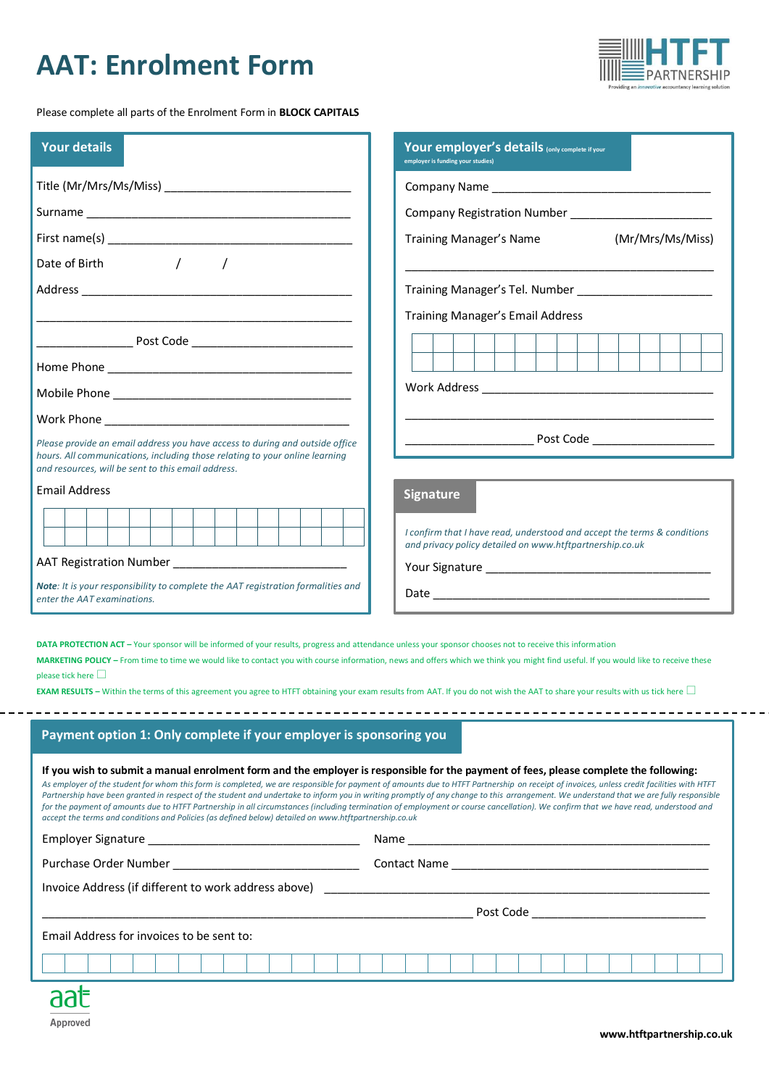## **AAT: Enrolment Form**



Please complete all parts of the Enrolment Form in **BLOCK CAPITALS**

|                                                    | (Mr/Mrs/Ms/Miss)<br>Training Manager's Name                                                                                                                                                                                                                                                                                                                                                                                                                                                                                                                                                                                                                                                                                                                                                                                |  |  |  |  |  |  |  |  |  |  |  |  |
|----------------------------------------------------|----------------------------------------------------------------------------------------------------------------------------------------------------------------------------------------------------------------------------------------------------------------------------------------------------------------------------------------------------------------------------------------------------------------------------------------------------------------------------------------------------------------------------------------------------------------------------------------------------------------------------------------------------------------------------------------------------------------------------------------------------------------------------------------------------------------------------|--|--|--|--|--|--|--|--|--|--|--|--|
| Date of Birth                                      | $\frac{1}{2}$                                                                                                                                                                                                                                                                                                                                                                                                                                                                                                                                                                                                                                                                                                                                                                                                              |  |  |  |  |  |  |  |  |  |  |  |  |
|                                                    |                                                                                                                                                                                                                                                                                                                                                                                                                                                                                                                                                                                                                                                                                                                                                                                                                            |  |  |  |  |  |  |  |  |  |  |  |  |
|                                                    | <b>Training Manager's Email Address</b>                                                                                                                                                                                                                                                                                                                                                                                                                                                                                                                                                                                                                                                                                                                                                                                    |  |  |  |  |  |  |  |  |  |  |  |  |
|                                                    |                                                                                                                                                                                                                                                                                                                                                                                                                                                                                                                                                                                                                                                                                                                                                                                                                            |  |  |  |  |  |  |  |  |  |  |  |  |
|                                                    |                                                                                                                                                                                                                                                                                                                                                                                                                                                                                                                                                                                                                                                                                                                                                                                                                            |  |  |  |  |  |  |  |  |  |  |  |  |
|                                                    |                                                                                                                                                                                                                                                                                                                                                                                                                                                                                                                                                                                                                                                                                                                                                                                                                            |  |  |  |  |  |  |  |  |  |  |  |  |
|                                                    |                                                                                                                                                                                                                                                                                                                                                                                                                                                                                                                                                                                                                                                                                                                                                                                                                            |  |  |  |  |  |  |  |  |  |  |  |  |
|                                                    | Please provide an email address you have access to during and outside office                                                                                                                                                                                                                                                                                                                                                                                                                                                                                                                                                                                                                                                                                                                                               |  |  |  |  |  |  |  |  |  |  |  |  |
| and resources, will be sent to this email address. | hours. All communications, including those relating to your online learning                                                                                                                                                                                                                                                                                                                                                                                                                                                                                                                                                                                                                                                                                                                                                |  |  |  |  |  |  |  |  |  |  |  |  |
| <b>Email Address</b>                               | <b>Signature</b>                                                                                                                                                                                                                                                                                                                                                                                                                                                                                                                                                                                                                                                                                                                                                                                                           |  |  |  |  |  |  |  |  |  |  |  |  |
|                                                    |                                                                                                                                                                                                                                                                                                                                                                                                                                                                                                                                                                                                                                                                                                                                                                                                                            |  |  |  |  |  |  |  |  |  |  |  |  |
|                                                    | I confirm that I have read, understood and accept the terms & conditions<br>and privacy policy detailed on www.htftpartnership.co.uk                                                                                                                                                                                                                                                                                                                                                                                                                                                                                                                                                                                                                                                                                       |  |  |  |  |  |  |  |  |  |  |  |  |
|                                                    |                                                                                                                                                                                                                                                                                                                                                                                                                                                                                                                                                                                                                                                                                                                                                                                                                            |  |  |  |  |  |  |  |  |  |  |  |  |
|                                                    | Note: It is your responsibility to complete the AAT registration formalities and                                                                                                                                                                                                                                                                                                                                                                                                                                                                                                                                                                                                                                                                                                                                           |  |  |  |  |  |  |  |  |  |  |  |  |
| enter the AAT examinations.                        |                                                                                                                                                                                                                                                                                                                                                                                                                                                                                                                                                                                                                                                                                                                                                                                                                            |  |  |  |  |  |  |  |  |  |  |  |  |
| please tick here $\Box$                            | DATA PROTECTION ACT - Your sponsor will be informed of your results, progress and attendance unless your sponsor chooses not to receive this information<br>MARKETING POLICY - From time to time we would like to contact you with course information, news and offers which we think you might find useful. If you would like to receive these<br><b>EXAM RESULTS</b> – Within the terms of this agreement you agree to HTFT obtaining your exam results from AAT. If you do not wish the AAT to share your results with us tick here $\Box$                                                                                                                                                                                                                                                                              |  |  |  |  |  |  |  |  |  |  |  |  |
|                                                    | Payment option 1: Only complete if your employer is sponsoring you                                                                                                                                                                                                                                                                                                                                                                                                                                                                                                                                                                                                                                                                                                                                                         |  |  |  |  |  |  |  |  |  |  |  |  |
|                                                    |                                                                                                                                                                                                                                                                                                                                                                                                                                                                                                                                                                                                                                                                                                                                                                                                                            |  |  |  |  |  |  |  |  |  |  |  |  |
|                                                    | If you wish to submit a manual enrolment form and the employer is responsible for the payment of fees, please complete the following:<br>As employer of the student for whom this form is completed, we are responsible for payment of amounts due to HTFT Partnership on receipt of invoices, unless credit facilities with HTFT<br>Partnership have been granted in respect of the student and undertake to inform you in writing promptly of any change to this arrangement. We understand that we are fully responsible<br>for the payment of amounts due to HTFT Partnership in all circumstances (including termination of employment or course cancellation). We confirm that we have read, understood and<br>accept the terms and conditions and Policies (as defined below) detailed on www.htftpartnership.co.uk |  |  |  |  |  |  |  |  |  |  |  |  |
|                                                    |                                                                                                                                                                                                                                                                                                                                                                                                                                                                                                                                                                                                                                                                                                                                                                                                                            |  |  |  |  |  |  |  |  |  |  |  |  |
|                                                    |                                                                                                                                                                                                                                                                                                                                                                                                                                                                                                                                                                                                                                                                                                                                                                                                                            |  |  |  |  |  |  |  |  |  |  |  |  |
|                                                    |                                                                                                                                                                                                                                                                                                                                                                                                                                                                                                                                                                                                                                                                                                                                                                                                                            |  |  |  |  |  |  |  |  |  |  |  |  |
|                                                    |                                                                                                                                                                                                                                                                                                                                                                                                                                                                                                                                                                                                                                                                                                                                                                                                                            |  |  |  |  |  |  |  |  |  |  |  |  |

Approved